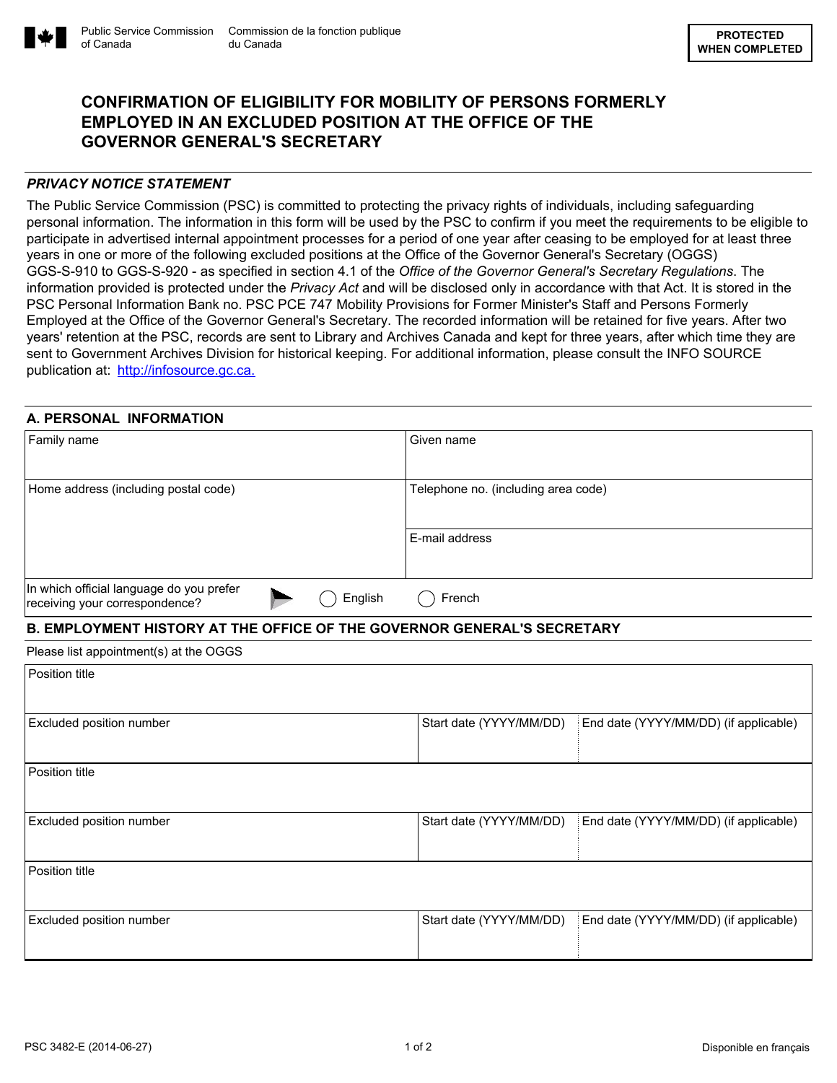

# **CONFIRMATION OF ELIGIBILITY FOR MOBILITY OF PERSONS FORMERLY EMPLOYED IN AN EXCLUDED POSITION AT THE OFFICE OF THE GOVERNOR GENERAL'S SECRETARY**

## *PRIVACY NOTICE STATEMENT*

of Canada

The Public Service Commission (PSC) is committed to protecting the privacy rights of individuals, including safeguarding personal information. The information in this form will be used by the PSC to confirm if you meet the requirements to be eligible to participate in advertised internal appointment processes for a period of one year after ceasing to be employed for at least three years in one or more of the following excluded positions at the Office of the Governor General's Secretary (OGGS) GGS-S-910 to GGS-S-920 - as specified in section 4.1 of the *Office of the Governor General's Secretary Regulations*. The information provided is protected under the *Privacy Act* and will be disclosed only in accordance with that Act. It is stored in the PSC Personal Information Bank no. PSC PCE 747 Mobility Provisions for Former Minister's Staff and Persons Formerly Employed at the Office of the Governor General's Secretary. The recorded information will be retained for five years. After two years' retention at the PSC, records are sent to Library and Archives Canada and kept for three years, after which time they are sent to Government Archives Division for historical keeping. For additional information, please consult the INFO SOURCE publication at: [http://infosource.gc.ca.](http://infosource.gc.ca)

### **A. PERSONAL INFORMATION**

| Family name                              |  |         | Given name                          |
|------------------------------------------|--|---------|-------------------------------------|
|                                          |  |         |                                     |
|                                          |  |         |                                     |
|                                          |  |         |                                     |
| Home address (including postal code)     |  |         | Telephone no. (including area code) |
|                                          |  |         |                                     |
|                                          |  |         |                                     |
|                                          |  |         |                                     |
|                                          |  |         | E-mail address                      |
|                                          |  |         |                                     |
|                                          |  |         |                                     |
|                                          |  |         |                                     |
| In which official language do you prefer |  |         |                                     |
| receiving your correspondence?           |  | English | French                              |
|                                          |  |         |                                     |

## **B. EMPLOYMENT HISTORY AT THE OFFICE OF THE GOVERNOR GENERAL'S SECRETARY**

Please list appointment(s) at the OGGS

| Position title           |                         |                                       |
|--------------------------|-------------------------|---------------------------------------|
| Excluded position number | Start date (YYYY/MM/DD) | End date (YYYY/MM/DD) (if applicable) |
| Position title           |                         |                                       |
| Excluded position number | Start date (YYYY/MM/DD) | End date (YYYY/MM/DD) (if applicable) |
| Position title           |                         |                                       |
| Excluded position number | Start date (YYYY/MM/DD) | End date (YYYY/MM/DD) (if applicable) |